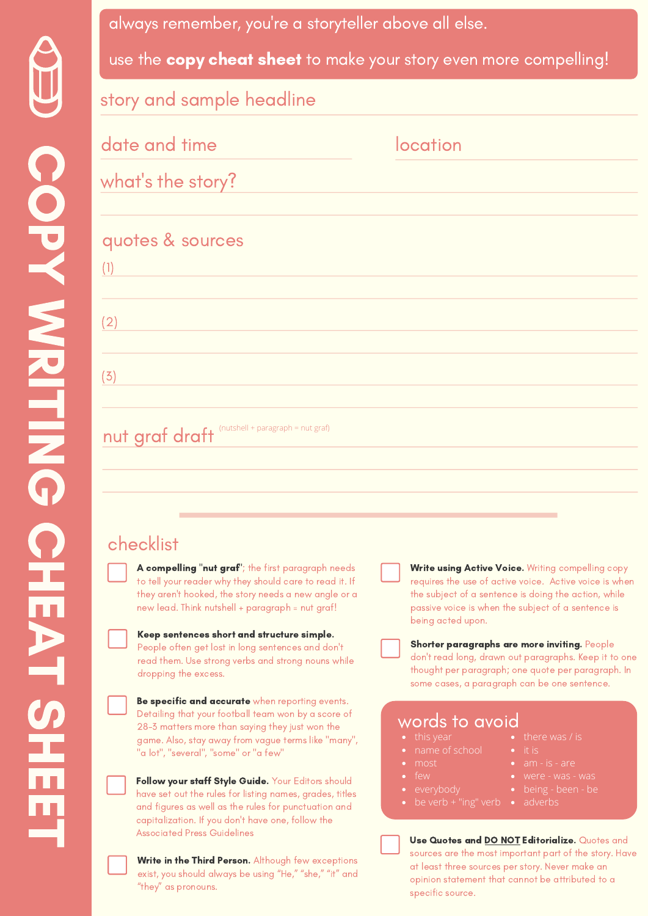i.

| always remember, you're a storyteller above all else.             |          |
|-------------------------------------------------------------------|----------|
| use the copy cheat sheet to make your story even more compelling! |          |
| story and sample headline                                         |          |
| date and time                                                     | location |
| what's the story?                                                 |          |
| quotes & sources<br>(1)                                           |          |
| (2)                                                               |          |
| (3)                                                               |          |
| $(nutshell + paragraph = nut graf)$<br>nut graf draft             |          |

## checklist

A compelling "nut graf"; the first paragraph needs to tell your reader why they should care to read it. If they aren't hooked, the story needs a new angle or a new lead. Think nutshell + paragraph = nut graf!

#### Keep sentences short and structure simple. People often get lost in long sentences and don't

read them. Use strong verbs and strong nouns while dropping the excess.

Be specific and accurate when reporting events.

Detailing that your football team won by a score of 28-3 matters more than saying they just won the game. Also, stay away from vague terms like "many", "a lot", "several", "some" or "a few"

Follow your staff Style Guide. Your Editors should have set out the rules for listing names, grades, titles and figures as well as the rules for punctuation and capitalization. If you don't have one, follow the Associated Press Guidelines

Write in the Third Person. Although few exceptions exist, you should always be using "He," "she," "it" and "they" as pronouns.

**Write using Active Voice.** Writing compelling copy requires the use of active voice. Active voice is when the subject of a sentence is doing the action, while passive voice is when the subject of a sentence is being acted upon.

Shorter paragraphs are more inviting. People don't read long, drawn out paragraphs. Keep it to one thought per paragraph; one quote per paragraph. In some cases, a paragraph can be one sentence.

### words to avoid

- 
- name of school
- most
- 
- 
- 
- 
- 
- am is are
- 
- -

Use Quotes and **DO NOT Editorialize.** Quotes and sources are the most important part of the story. Have at least three sources per story. Never make an opinion statement that cannot be attributed to a specific source.